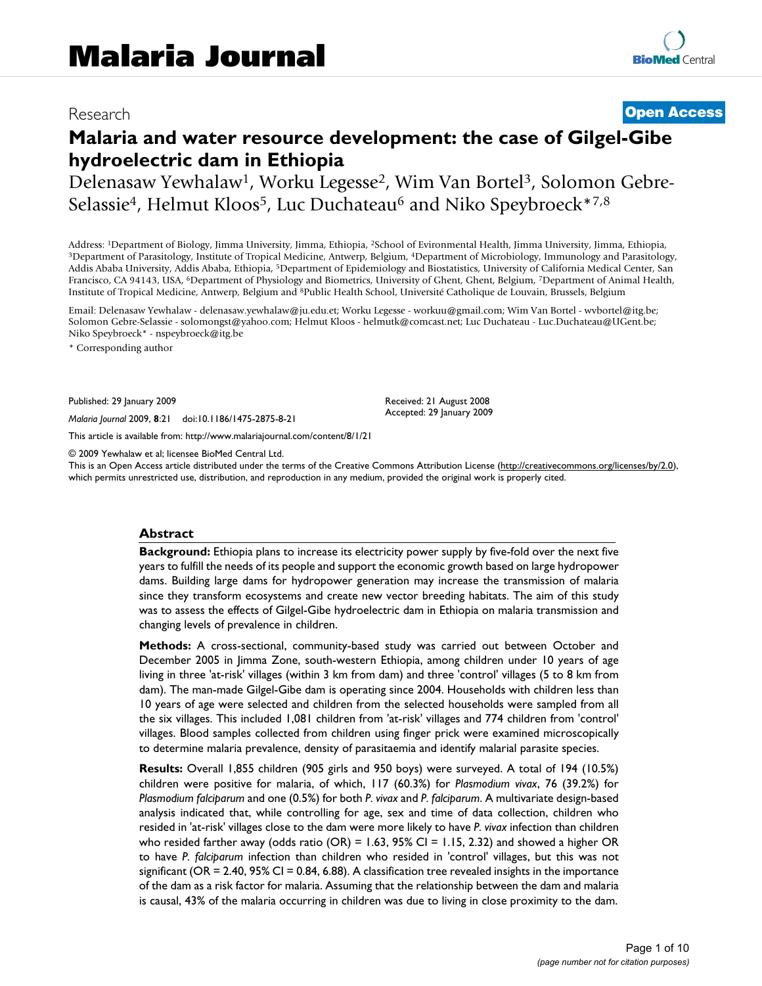# Research **[Open Access](http://www.biomedcentral.com/info/about/charter/)**

# **Malaria and water resource development: the case of Gilgel-Gibe hydroelectric dam in Ethiopia**

Delenasaw Yewhalaw1, Worku Legesse2, Wim Van Bortel3, Solomon Gebre-Selassie<sup>4</sup>, Helmut Kloos<sup>5</sup>, Luc Duchateau<sup>6</sup> and Niko Speybroeck<sup>\*7,8</sup>

Address: <sup>1</sup>Department of Biology, Jimma University, Jimma, Ethiopia, <sup>2</sup>School of Evironmental Health, Jimma University, Jimma, Ethiopia,<br><sup>3</sup>Department of Parasitology, Institute of Tropical Medicine, Antwerp, Belgium, <sup>4</sup> Addis Ababa University, Addis Ababa, Ethiopia, 5Department of Epidemiology and Biostatistics, University of California Medical Center, San Francisco, CA 94143, USA, 6Department of Physiology and Biometrics, University of Ghent, Ghent, Belgium, 7Department of Animal Health, Institute of Tropical Medicine, Antwerp, Belgium and 8Public Health School, Université Catholique de Louvain, Brussels, Belgium

Email: Delenasaw Yewhalaw - delenasaw.yewhalaw@ju.edu.et; Worku Legesse - workuu@gmail.com; Wim Van Bortel - wvbortel@itg.be; Solomon Gebre-Selassie - solomongst@yahoo.com; Helmut Kloos - helmutk@comcast.net; Luc Duchateau - Luc.Duchateau@UGent.be; Niko Speybroeck\* - nspeybroeck@itg.be

\* Corresponding author

Published: 29 January 2009

*Malaria Journal* 2009, **8**:21 doi:10.1186/1475-2875-8-21

[This article is available from: http://www.malariajournal.com/content/8/1/21](http://www.malariajournal.com/content/8/1/21)

© 2009 Yewhalaw et al; licensee BioMed Central Ltd.

This is an Open Access article distributed under the terms of the Creative Commons Attribution License [\(http://creativecommons.org/licenses/by/2.0\)](http://creativecommons.org/licenses/by/2.0), which permits unrestricted use, distribution, and reproduction in any medium, provided the original work is properly cited.

Received: 21 August 2008 Accepted: 29 January 2009

#### **Abstract**

**Background:** Ethiopia plans to increase its electricity power supply by five-fold over the next five years to fulfill the needs of its people and support the economic growth based on large hydropower dams. Building large dams for hydropower generation may increase the transmission of malaria since they transform ecosystems and create new vector breeding habitats. The aim of this study was to assess the effects of Gilgel-Gibe hydroelectric dam in Ethiopia on malaria transmission and changing levels of prevalence in children.

**Methods:** A cross-sectional, community-based study was carried out between October and December 2005 in Jimma Zone, south-western Ethiopia, among children under 10 years of age living in three 'at-risk' villages (within 3 km from dam) and three 'control' villages (5 to 8 km from dam). The man-made Gilgel-Gibe dam is operating since 2004. Households with children less than 10 years of age were selected and children from the selected households were sampled from all the six villages. This included 1,081 children from 'at-risk' villages and 774 children from 'control' villages. Blood samples collected from children using finger prick were examined microscopically to determine malaria prevalence, density of parasitaemia and identify malarial parasite species.

**Results:** Overall 1,855 children (905 girls and 950 boys) were surveyed. A total of 194 (10.5%) children were positive for malaria, of which, 117 (60.3%) for *Plasmodium vivax*, 76 (39.2%) for *Plasmodium falciparum* and one (0.5%) for both *P. vivax* and *P. falciparum*. A multivariate design-based analysis indicated that, while controlling for age, sex and time of data collection, children who resided in 'at-risk' villages close to the dam were more likely to have *P. vivax* infection than children who resided farther away (odds ratio (OR) =  $1.63$ , 95% CI =  $1.15$ , 2.32) and showed a higher OR to have *P. falciparum* infection than children who resided in 'control' villages, but this was not significant (OR = 2.40, 95% CI = 0.84, 6.88). A classification tree revealed insights in the importance of the dam as a risk factor for malaria. Assuming that the relationship between the dam and malaria is causal, 43% of the malaria occurring in children was due to living in close proximity to the dam.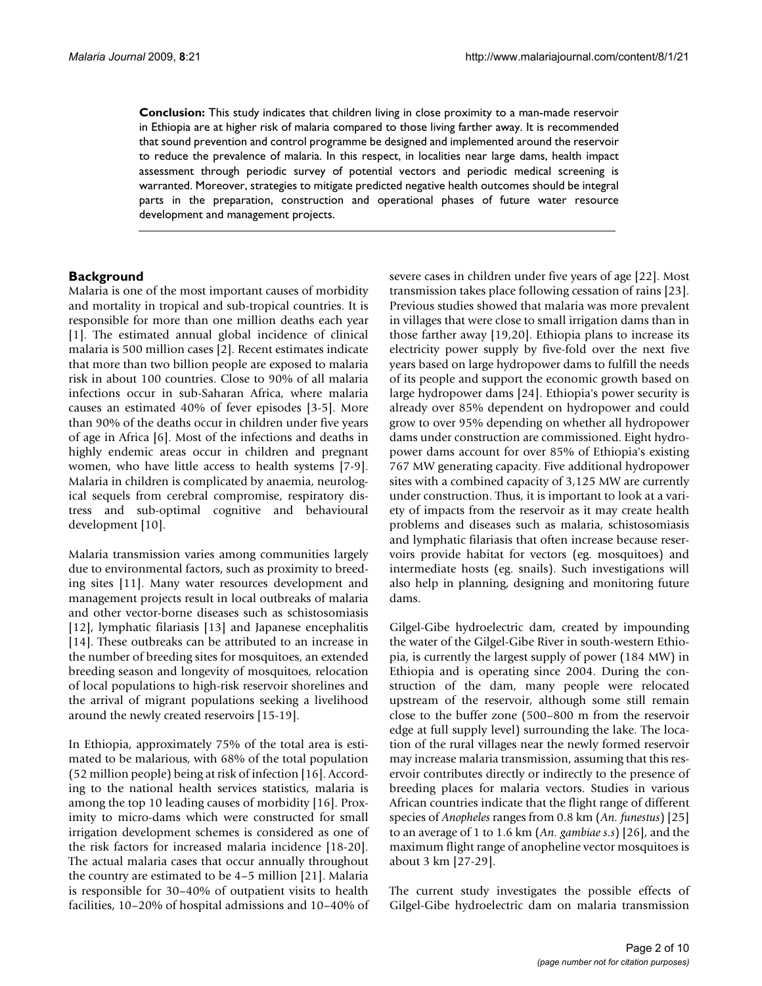**Conclusion:** This study indicates that children living in close proximity to a man-made reservoir in Ethiopia are at higher risk of malaria compared to those living farther away. It is recommended that sound prevention and control programme be designed and implemented around the reservoir to reduce the prevalence of malaria. In this respect, in localities near large dams, health impact assessment through periodic survey of potential vectors and periodic medical screening is warranted. Moreover, strategies to mitigate predicted negative health outcomes should be integral parts in the preparation, construction and operational phases of future water resource development and management projects.

#### **Background**

Malaria is one of the most important causes of morbidity and mortality in tropical and sub-tropical countries. It is responsible for more than one million deaths each year [1]. The estimated annual global incidence of clinical malaria is 500 million cases [2]. Recent estimates indicate that more than two billion people are exposed to malaria risk in about 100 countries. Close to 90% of all malaria infections occur in sub-Saharan Africa, where malaria causes an estimated 40% of fever episodes [3-5]. More than 90% of the deaths occur in children under five years of age in Africa [6]. Most of the infections and deaths in highly endemic areas occur in children and pregnant women, who have little access to health systems [7-9]. Malaria in children is complicated by anaemia, neurological sequels from cerebral compromise, respiratory distress and sub-optimal cognitive and behavioural development [10].

Malaria transmission varies among communities largely due to environmental factors, such as proximity to breeding sites [11]. Many water resources development and management projects result in local outbreaks of malaria and other vector-borne diseases such as schistosomiasis [12], lymphatic filariasis [13] and Japanese encephalitis [14]. These outbreaks can be attributed to an increase in the number of breeding sites for mosquitoes, an extended breeding season and longevity of mosquitoes, relocation of local populations to high-risk reservoir shorelines and the arrival of migrant populations seeking a livelihood around the newly created reservoirs [15-19].

In Ethiopia, approximately 75% of the total area is estimated to be malarious, with 68% of the total population (52 million people) being at risk of infection [16]. According to the national health services statistics, malaria is among the top 10 leading causes of morbidity [16]. Proximity to micro-dams which were constructed for small irrigation development schemes is considered as one of the risk factors for increased malaria incidence [18-20]. The actual malaria cases that occur annually throughout the country are estimated to be 4–5 million [21]. Malaria is responsible for 30–40% of outpatient visits to health facilities, 10–20% of hospital admissions and 10–40% of severe cases in children under five years of age [22]. Most transmission takes place following cessation of rains [23]. Previous studies showed that malaria was more prevalent in villages that were close to small irrigation dams than in those farther away [19,20]. Ethiopia plans to increase its electricity power supply by five-fold over the next five years based on large hydropower dams to fulfill the needs of its people and support the economic growth based on large hydropower dams [24]. Ethiopia's power security is already over 85% dependent on hydropower and could grow to over 95% depending on whether all hydropower dams under construction are commissioned. Eight hydropower dams account for over 85% of Ethiopia's existing 767 MW generating capacity. Five additional hydropower sites with a combined capacity of 3,125 MW are currently under construction. Thus, it is important to look at a variety of impacts from the reservoir as it may create health problems and diseases such as malaria, schistosomiasis and lymphatic filariasis that often increase because reservoirs provide habitat for vectors (eg. mosquitoes) and intermediate hosts (eg. snails). Such investigations will also help in planning, designing and monitoring future dams.

Gilgel-Gibe hydroelectric dam, created by impounding the water of the Gilgel-Gibe River in south-western Ethiopia, is currently the largest supply of power (184 MW) in Ethiopia and is operating since 2004. During the construction of the dam, many people were relocated upstream of the reservoir, although some still remain close to the buffer zone (500–800 m from the reservoir edge at full supply level) surrounding the lake. The location of the rural villages near the newly formed reservoir may increase malaria transmission, assuming that this reservoir contributes directly or indirectly to the presence of breeding places for malaria vectors. Studies in various African countries indicate that the flight range of different species of *Anopheles* ranges from 0.8 km (*An. funestus*) [25] to an average of 1 to 1.6 km (*An. gambiae s.s*) [26], and the maximum flight range of anopheline vector mosquitoes is about 3 km [27-29].

The current study investigates the possible effects of Gilgel-Gibe hydroelectric dam on malaria transmission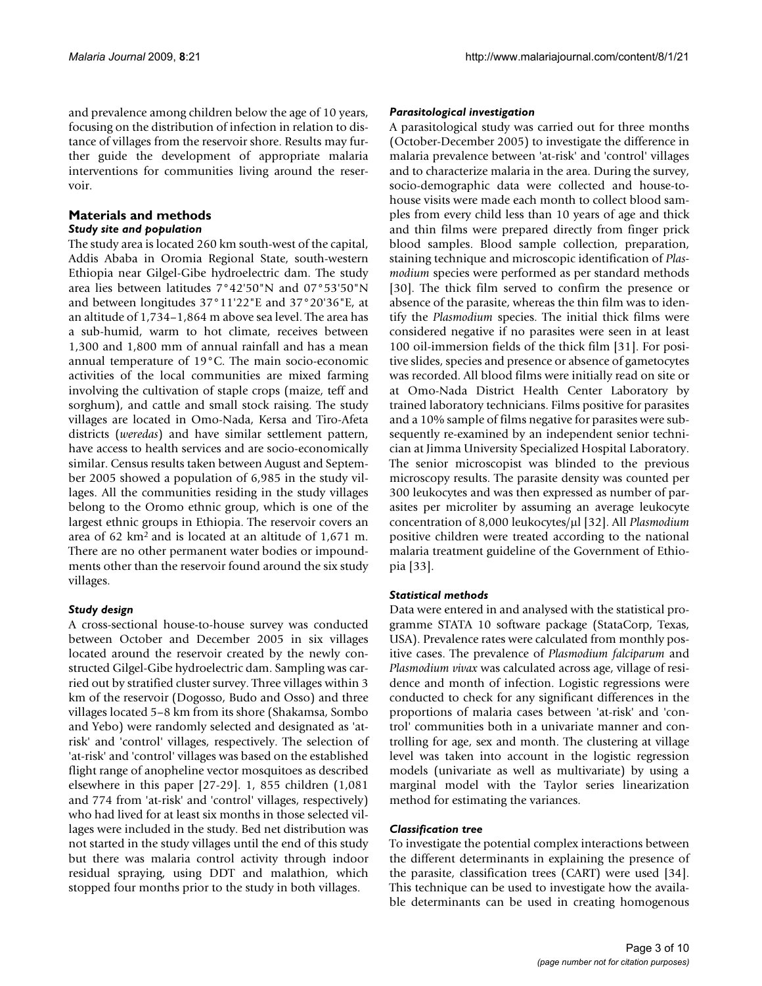and prevalence among children below the age of 10 years, focusing on the distribution of infection in relation to distance of villages from the reservoir shore. Results may further guide the development of appropriate malaria interventions for communities living around the reservoir.

#### **Materials and methods** *Study site and population*

The study area is located 260 km south-west of the capital, Addis Ababa in Oromia Regional State, south-western Ethiopia near Gilgel-Gibe hydroelectric dam. The study area lies between latitudes 7°42'50"N and 07°53'50"N and between longitudes 37°11'22"E and 37°20'36"E, at an altitude of 1,734–1,864 m above sea level. The area has a sub-humid, warm to hot climate, receives between 1,300 and 1,800 mm of annual rainfall and has a mean annual temperature of 19°C. The main socio-economic activities of the local communities are mixed farming involving the cultivation of staple crops (maize, teff and sorghum), and cattle and small stock raising. The study villages are located in Omo-Nada, Kersa and Tiro-Afeta districts (*weredas*) and have similar settlement pattern, have access to health services and are socio-economically similar. Census results taken between August and September 2005 showed a population of 6,985 in the study villages. All the communities residing in the study villages belong to the Oromo ethnic group, which is one of the largest ethnic groups in Ethiopia. The reservoir covers an area of 62 km2 and is located at an altitude of 1,671 m. There are no other permanent water bodies or impoundments other than the reservoir found around the six study villages.

### *Study design*

A cross-sectional house-to-house survey was conducted between October and December 2005 in six villages located around the reservoir created by the newly constructed Gilgel-Gibe hydroelectric dam. Sampling was carried out by stratified cluster survey. Three villages within 3 km of the reservoir (Dogosso, Budo and Osso) and three villages located 5–8 km from its shore (Shakamsa, Sombo and Yebo) were randomly selected and designated as 'atrisk' and 'control' villages, respectively. The selection of 'at-risk' and 'control' villages was based on the established flight range of anopheline vector mosquitoes as described elsewhere in this paper [27-29]. 1, 855 children (1,081 and 774 from 'at-risk' and 'control' villages, respectively) who had lived for at least six months in those selected villages were included in the study. Bed net distribution was not started in the study villages until the end of this study but there was malaria control activity through indoor residual spraying, using DDT and malathion, which stopped four months prior to the study in both villages.

### *Parasitological investigation*

A parasitological study was carried out for three months (October-December 2005) to investigate the difference in malaria prevalence between 'at-risk' and 'control' villages and to characterize malaria in the area. During the survey, socio-demographic data were collected and house-tohouse visits were made each month to collect blood samples from every child less than 10 years of age and thick and thin films were prepared directly from finger prick blood samples. Blood sample collection, preparation, staining technique and microscopic identification of *Plasmodium* species were performed as per standard methods [30]. The thick film served to confirm the presence or absence of the parasite, whereas the thin film was to identify the *Plasmodium* species. The initial thick films were considered negative if no parasites were seen in at least 100 oil-immersion fields of the thick film [31]. For positive slides, species and presence or absence of gametocytes was recorded. All blood films were initially read on site or at Omo-Nada District Health Center Laboratory by trained laboratory technicians. Films positive for parasites and a 10% sample of films negative for parasites were subsequently re-examined by an independent senior technician at Jimma University Specialized Hospital Laboratory. The senior microscopist was blinded to the previous microscopy results. The parasite density was counted per 300 leukocytes and was then expressed as number of parasites per microliter by assuming an average leukocyte concentration of 8,000 leukocytes/μl [32]. All *Plasmodium* positive children were treated according to the national malaria treatment guideline of the Government of Ethiopia [33].

### *Statistical methods*

Data were entered in and analysed with the statistical programme STATA 10 software package (StataCorp, Texas, USA). Prevalence rates were calculated from monthly positive cases. The prevalence of *Plasmodium falciparum* and *Plasmodium vivax* was calculated across age, village of residence and month of infection. Logistic regressions were conducted to check for any significant differences in the proportions of malaria cases between 'at-risk' and 'control' communities both in a univariate manner and controlling for age, sex and month. The clustering at village level was taken into account in the logistic regression models (univariate as well as multivariate) by using a marginal model with the Taylor series linearization method for estimating the variances.

### *Classification tree*

To investigate the potential complex interactions between the different determinants in explaining the presence of the parasite, classification trees (CART) were used [34]. This technique can be used to investigate how the available determinants can be used in creating homogenous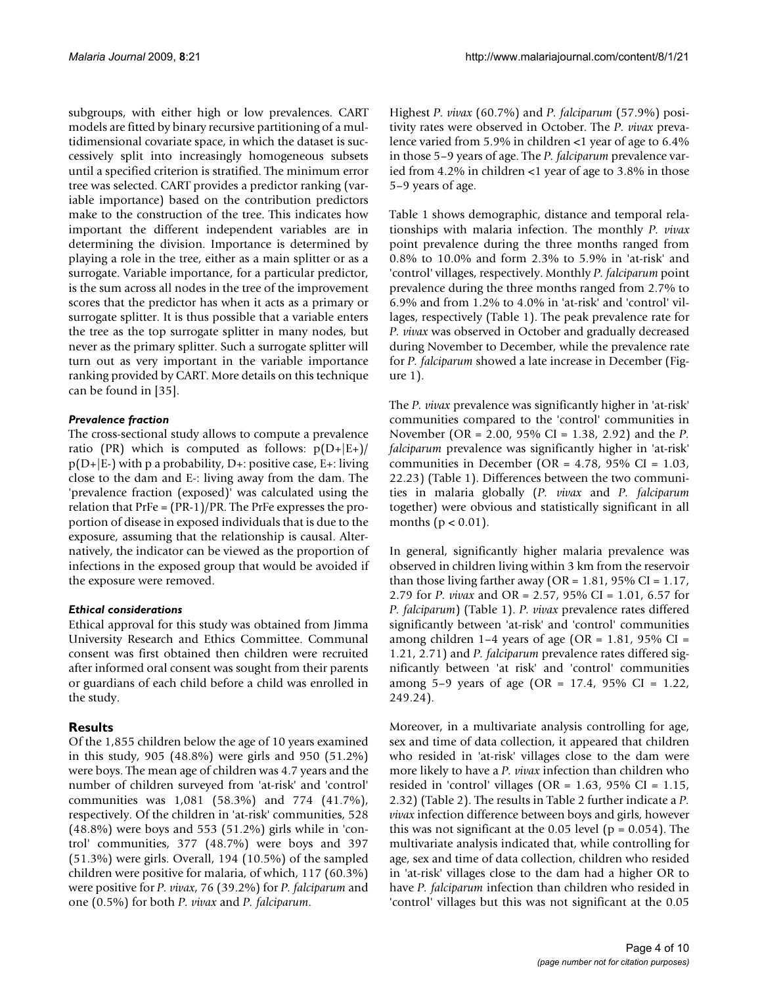subgroups, with either high or low prevalences. CART models are fitted by binary recursive partitioning of a multidimensional covariate space, in which the dataset is successively split into increasingly homogeneous subsets until a specified criterion is stratified. The minimum error tree was selected. CART provides a predictor ranking (variable importance) based on the contribution predictors make to the construction of the tree. This indicates how important the different independent variables are in determining the division. Importance is determined by playing a role in the tree, either as a main splitter or as a surrogate. Variable importance, for a particular predictor, is the sum across all nodes in the tree of the improvement scores that the predictor has when it acts as a primary or surrogate splitter. It is thus possible that a variable enters the tree as the top surrogate splitter in many nodes, but never as the primary splitter. Such a surrogate splitter will turn out as very important in the variable importance ranking provided by CART. More details on this technique can be found in [35].

### *Prevalence fraction*

The cross-sectional study allows to compute a prevalence ratio (PR) which is computed as follows:  $p(D+|E+)/$  $p(D+|E-)$  with p a probability, D+: positive case, E+: living close to the dam and E-: living away from the dam. The 'prevalence fraction (exposed)' was calculated using the relation that PrFe = (PR-1)/PR. The PrFe expresses the proportion of disease in exposed individuals that is due to the exposure, assuming that the relationship is causal. Alternatively, the indicator can be viewed as the proportion of infections in the exposed group that would be avoided if the exposure were removed.

### *Ethical considerations*

Ethical approval for this study was obtained from Jimma University Research and Ethics Committee. Communal consent was first obtained then children were recruited after informed oral consent was sought from their parents or guardians of each child before a child was enrolled in the study.

### **Results**

Of the 1,855 children below the age of 10 years examined in this study, 905 (48.8%) were girls and 950 (51.2%) were boys. The mean age of children was 4.7 years and the number of children surveyed from 'at-risk' and 'control' communities was 1,081 (58.3%) and 774 (41.7%), respectively. Of the children in 'at-risk' communities, 528 (48.8%) were boys and 553 (51.2%) girls while in 'control' communities, 377 (48.7%) were boys and 397 (51.3%) were girls. Overall, 194 (10.5%) of the sampled children were positive for malaria, of which, 117 (60.3%) were positive for *P. vivax*, 76 (39.2%) for *P. falciparum* and one (0.5%) for both *P. vivax* and *P. falciparum*.

Highest *P. vivax* (60.7%) and *P. falciparum* (57.9%) positivity rates were observed in October. The *P. vivax* prevalence varied from 5.9% in children <1 year of age to 6.4% in those 5–9 years of age. The *P. falciparum* prevalence varied from 4.2% in children <1 year of age to 3.8% in those 5–9 years of age.

Table 1 shows demographic, distance and temporal relationships with malaria infection. The monthly *P. vivax* point prevalence during the three months ranged from 0.8% to 10.0% and form 2.3% to 5.9% in 'at-risk' and 'control' villages, respectively. Monthly *P. falciparum* point prevalence during the three months ranged from 2.7% to 6.9% and from 1.2% to 4.0% in 'at-risk' and 'control' villages, respectively (Table 1). The peak prevalence rate for *P. vivax* was observed in October and gradually decreased during November to December, while the prevalence rate for *P. falciparum* showed a late increase in December (Figure 1).

The *P. vivax* prevalence was significantly higher in 'at-risk' communities compared to the 'control' communities in November (OR = 2.00, 95% CI = 1.38, 2.92) and the *P. falciparum* prevalence was significantly higher in 'at-risk' communities in December (OR = 4.78, 95% CI = 1.03, 22.23) (Table 1). Differences between the two communities in malaria globally (*P. vivax* and *P. falciparum* together) were obvious and statistically significant in all months ( $p < 0.01$ ).

In general, significantly higher malaria prevalence was observed in children living within 3 km from the reservoir than those living farther away ( $OR = 1.81$ ,  $95\% CI = 1.17$ , 2.79 for *P. vivax* and OR = 2.57, 95% CI = 1.01, 6.57 for *P. falciparum*) (Table 1). *P. vivax* prevalence rates differed significantly between 'at-risk' and 'control' communities among children 1–4 years of age (OR =  $1.81$ , 95% CI = 1.21, 2.71) and *P. falciparum* prevalence rates differed significantly between 'at risk' and 'control' communities among 5–9 years of age (OR =  $17.4$ , 95% CI =  $1.22$ , 249.24).

Moreover, in a multivariate analysis controlling for age, sex and time of data collection, it appeared that children who resided in 'at-risk' villages close to the dam were more likely to have a *P. vivax* infection than children who resided in 'control' villages (OR =  $1.63$ , 95% CI =  $1.15$ , 2.32) (Table 2). The results in Table 2 further indicate a *P. vivax* infection difference between boys and girls, however this was not significant at the  $0.05$  level ( $p = 0.054$ ). The multivariate analysis indicated that, while controlling for age, sex and time of data collection, children who resided in 'at-risk' villages close to the dam had a higher OR to have *P. falciparum* infection than children who resided in 'control' villages but this was not significant at the 0.05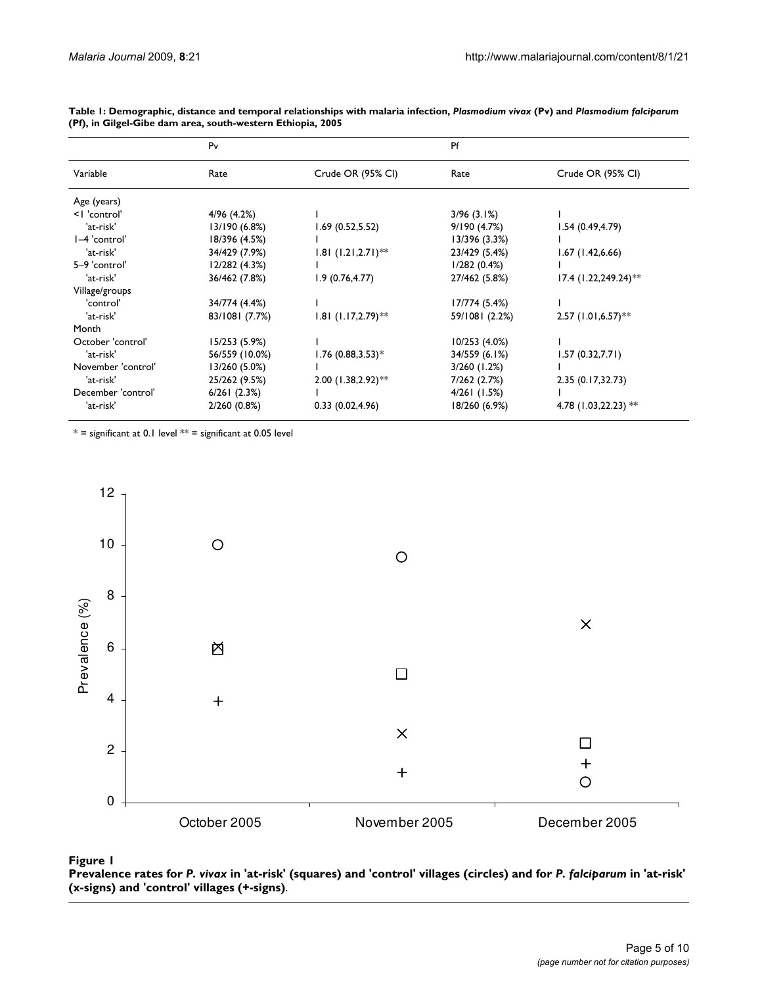|                    | P <sub>V</sub> |                                   | Pf             |                         |
|--------------------|----------------|-----------------------------------|----------------|-------------------------|
| Variable           | Rate           | Crude OR (95% CI)                 | Rate           | Crude OR (95% CI)       |
| Age (years)        |                |                                   |                |                         |
| <1 'control'       | $4/96$ (4.2%)  |                                   | $3/96$ (3.1%)  |                         |
| 'at-risk'          | 13/190 (6.8%)  | 1.69(0.52, 5.52)                  | 9/190(4.7%)    | 1.54(0.49, 4.79)        |
| I-4 'control'      | 18/396 (4.5%)  |                                   | 13/396 (3.3%)  |                         |
| 'at-risk'          | 34/429 (7.9%)  | $1.81$ (1.21, 2.71) <sup>**</sup> | 23/429 (5.4%)  | 1.67 (1.42,6.66)        |
| 5-9 'control'      | 12/282 (4.3%)  |                                   | 1/282(0.4%)    |                         |
| 'at-risk'          | 36/462 (7.8%)  | 1.9(0.76, 4.77)                   | 27/462 (5.8%)  | $17.4$ (1.22,249.24)**  |
| Village/groups     |                |                                   |                |                         |
| 'control'          | 34/774 (4.4%)  |                                   | 17/774 (5.4%)  |                         |
| 'at-risk'          | 83/1081 (7.7%) | $1.81$ (1.17,2.79)**              | 59/1081 (2.2%) | $2.57$ (1.01,6.57)**    |
| Month              |                |                                   |                |                         |
| October 'control'  | 15/253 (5.9%)  |                                   | 10/253 (4.0%)  |                         |
| 'at-risk'          | 56/559 (10.0%) | $1.76$ (0.88, 3.53) <sup>*</sup>  | 34/559 (6.1%)  | 1.57(0.32,7.71)         |
| November 'control' | 13/260 (5.0%)  |                                   | $3/260$ (1.2%) |                         |
| 'at-risk'          | 25/262 (9.5%)  | $2.00$ (1.38, 2.92) <sup>**</sup> | 7/262 (2.7%)   | 2.35(0.17,32.73)        |
| December 'control' | 6/261(2.3%)    |                                   | $4/261$ (1.5%) |                         |
| 'at-risk'          | 2/260(0.8%)    | 0.33(0.02, 4.96)                  | 18/260 (6.9%)  | 4.78 $(1.03, 22.23)$ ** |

**Table 1: Demographic, distance and temporal relationships with malaria infection,** *Plasmodium vivax* **(Pv) and** *Plasmodium falciparum*  **(Pf), in Gilgel-Gibe dam area, south-western Ethiopia, 2005**

 $*$  = significant at 0.1 level  $^{**}$  = significant at 0.05 level



#### trol' villages (+-signs) **Figure 1** Prevalence rates for *P. vivax* in 'at-risk' (squares) and 'control' villages (circles) and for *P. falciparum* in 'at-risk' (x-signs) and 'con-

**Prevalence rates for** *P. vivax* **in 'at-risk' (squares) and 'control' villages (circles) and for** *P. falciparum* **in 'at-risk' (x-signs) and 'control' villages (+-signs)**.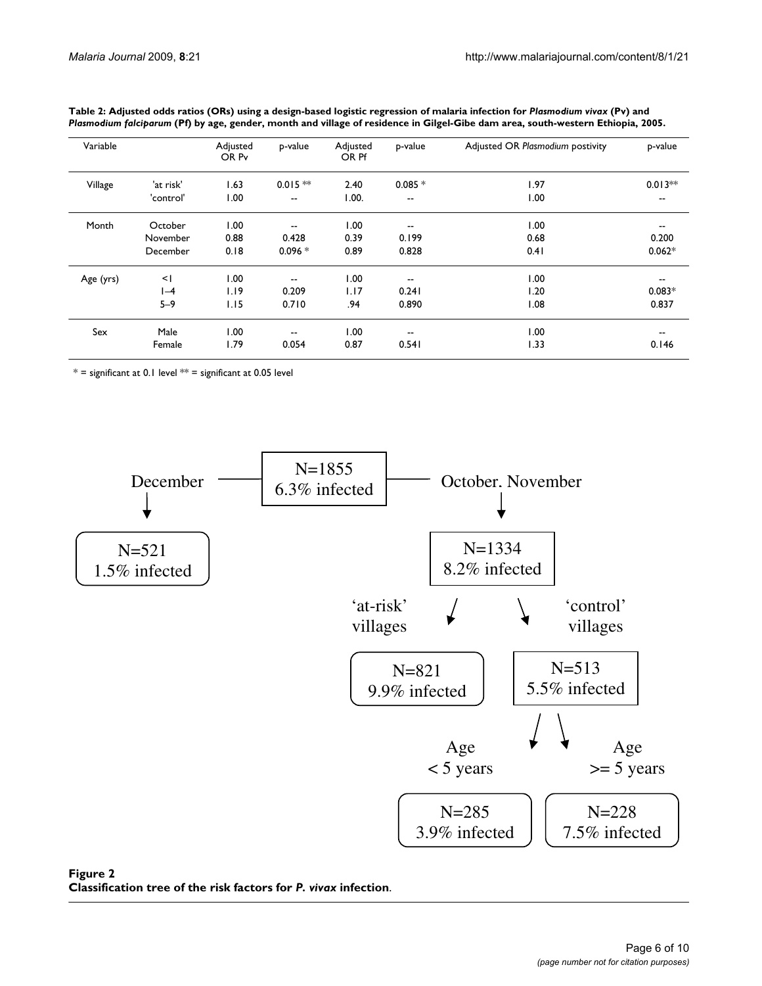| Variable  |           | Adjusted<br>OR Pv | p-value                  | Adjusted<br>OR Pf | p-value                  | Adjusted OR Plasmodium postivity | p-value   |
|-----------|-----------|-------------------|--------------------------|-------------------|--------------------------|----------------------------------|-----------|
| Village   | 'at risk' | 1.63              | $0.015$ **               | 2.40              | $0.085 *$                | 1.97                             | $0.013**$ |
|           | 'control' | 00.1              | $\overline{\phantom{a}}$ | 1.00.             | $\overline{\phantom{a}}$ | 00.1                             | --        |
| Month     | October   | 1.00              | $\overline{\phantom{a}}$ | 1.00              | $- -$                    | 00.1                             | --        |
|           | November  | 0.88              | 0.428                    | 0.39              | 0.199                    | 0.68                             | 0.200     |
|           | December  | 0.18              | $0.096 *$                | 0.89              | 0.828                    | 0.41                             | $0.062*$  |
| Age (yrs) | $\leq$    | 1.00              | $\overline{\phantom{a}}$ | 1.00              | --                       | 00.1                             | --        |
|           | $I-4$     | 1.19              | 0.209                    | I.I7              | 0.241                    | 1.20                             | $0.083*$  |
|           | $5 - 9$   | 1.15              | 0.710                    | .94               | 0.890                    | 0.1                              | 0.837     |
| Sex       | Male      | 00.1              | $-$                      | 00.1              | $-$                      | 00.1                             | $- -$     |
|           | Female    | 1.79              | 0.054                    | 0.87              | 0.541                    | 1.33                             | 0.146     |

**Table 2: Adjusted odds ratios (ORs) using a design-based logistic regression of malaria infection for** *Plasmodium vivax* **(Pv) and**  *Plasmodium falciparum* **(Pf) by age, gender, month and village of residence in Gilgel-Gibe dam area, south-western Ethiopia, 2005.**

 $*$  = significant at 0.1 level  $**$  = significant at 0.05 level



**Figure 2 Classification tree of the risk factors for** *P. vivax* **infection**.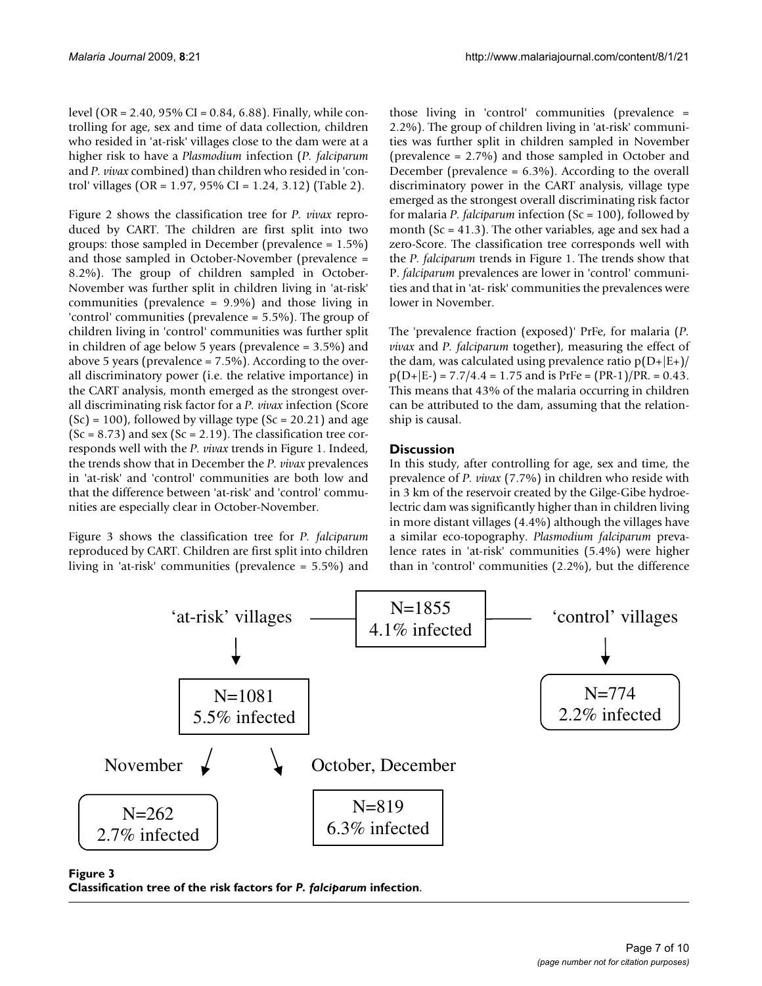level (OR = 2.40, 95% CI = 0.84, 6.88). Finally, while controlling for age, sex and time of data collection, children who resided in 'at-risk' villages close to the dam were at a higher risk to have a *Plasmodium* infection (*P. falciparum* and *P. vivax* combined) than children who resided in 'control' villages (OR = 1.97, 95% CI = 1.24, 3.12) (Table 2).

Figure 2 shows the classification tree for *P. vivax* reproduced by CART. The children are first split into two groups: those sampled in December (prevalence = 1.5%) and those sampled in October-November (prevalence = 8.2%). The group of children sampled in October-November was further split in children living in 'at-risk' communities (prevalence = 9.9%) and those living in 'control' communities (prevalence = 5.5%). The group of children living in 'control' communities was further split in children of age below 5 years (prevalence = 3.5%) and above 5 years (prevalence = 7.5%). According to the overall discriminatory power (i.e. the relative importance) in the CART analysis, month emerged as the strongest overall discriminating risk factor for a *P. vivax* infection (Score  $(Sc) = 100$ , followed by village type  $(Sc = 20.21)$  and age  $(Sc = 8.73)$  and sex  $(Sc = 2.19)$ . The classification tree corresponds well with the *P. vivax* trends in Figure 1. Indeed, the trends show that in December the *P. vivax* prevalences in 'at-risk' and 'control' communities are both low and that the difference between 'at-risk' and 'control' communities are especially clear in October-November.

Figure 3 shows the classification tree for *P. falciparum* reproduced by CART. Children are first split into children living in 'at-risk' communities (prevalence = 5.5%) and those living in 'control' communities (prevalence = 2.2%). The group of children living in 'at-risk' communities was further split in children sampled in November (prevalence = 2.7%) and those sampled in October and December (prevalence = 6.3%). According to the overall discriminatory power in the CART analysis, village type emerged as the strongest overall discriminating risk factor for malaria *P. falciparum* infection (Sc = 100), followed by month ( $Sc = 41.3$ ). The other variables, age and sex had a zero-Score. The classification tree corresponds well with the *P. falciparum* trends in Figure 1. The trends show that P. *falciparum* prevalences are lower in 'control' communities and that in 'at- risk' communities the prevalences were lower in November.

The 'prevalence fraction (exposed)' PrFe, for malaria (*P. vivax* and *P. falciparum* together), measuring the effect of the dam, was calculated using prevalence ratio  $p(D+|E+)/$  $p(D+|E-) = 7.7/4.4 = 1.75$  and is PrFe =  $(PR-1)/PR = 0.43$ . This means that 43% of the malaria occurring in children can be attributed to the dam, assuming that the relationship is causal.

## **Discussion**

In this study, after controlling for age, sex and time, the prevalence of *P. vivax* (7.7%) in children who reside with in 3 km of the reservoir created by the Gilge-Gibe hydroelectric dam was significantly higher than in children living in more distant villages (4.4%) although the villages have a similar eco-topography. *Plasmodium falciparum* prevalence rates in 'at-risk' communities (5.4%) were higher than in 'control' communities (2.2%), but the difference



**Figure 3 Classification tree of the risk factors for** *P. falciparum* **infection**.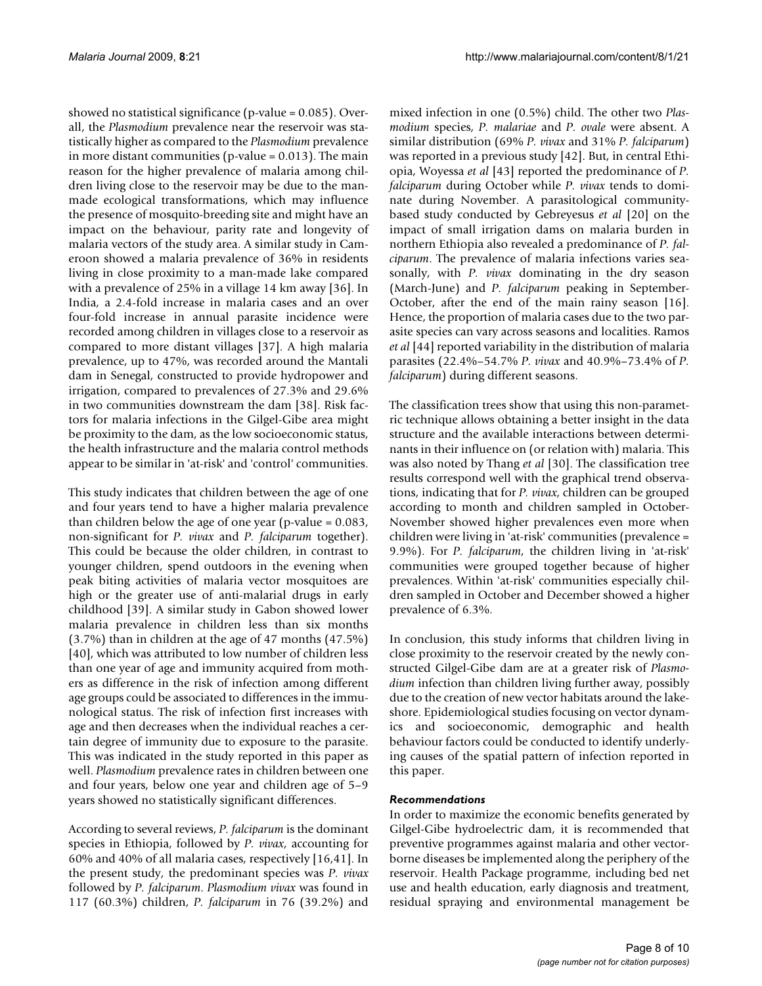showed no statistical significance (p-value = 0.085). Overall, the *Plasmodium* prevalence near the reservoir was statistically higher as compared to the *Plasmodium* prevalence in more distant communities (p-value  $= 0.013$ ). The main reason for the higher prevalence of malaria among children living close to the reservoir may be due to the manmade ecological transformations, which may influence the presence of mosquito-breeding site and might have an impact on the behaviour, parity rate and longevity of malaria vectors of the study area. A similar study in Cameroon showed a malaria prevalence of 36% in residents living in close proximity to a man-made lake compared with a prevalence of 25% in a village 14 km away [36]. In India, a 2.4-fold increase in malaria cases and an over four-fold increase in annual parasite incidence were recorded among children in villages close to a reservoir as compared to more distant villages [37]. A high malaria prevalence, up to 47%, was recorded around the Mantali dam in Senegal, constructed to provide hydropower and irrigation, compared to prevalences of 27.3% and 29.6% in two communities downstream the dam [38]. Risk factors for malaria infections in the Gilgel-Gibe area might be proximity to the dam, as the low socioeconomic status, the health infrastructure and the malaria control methods appear to be similar in 'at-risk' and 'control' communities.

This study indicates that children between the age of one and four years tend to have a higher malaria prevalence than children below the age of one year (p-value =  $0.083$ , non-significant for *P. vivax* and *P. falciparum* together). This could be because the older children, in contrast to younger children, spend outdoors in the evening when peak biting activities of malaria vector mosquitoes are high or the greater use of anti-malarial drugs in early childhood [39]. A similar study in Gabon showed lower malaria prevalence in children less than six months (3.7%) than in children at the age of 47 months (47.5%) [40], which was attributed to low number of children less than one year of age and immunity acquired from mothers as difference in the risk of infection among different age groups could be associated to differences in the immunological status. The risk of infection first increases with age and then decreases when the individual reaches a certain degree of immunity due to exposure to the parasite. This was indicated in the study reported in this paper as well. *Plasmodium* prevalence rates in children between one and four years, below one year and children age of 5–9 years showed no statistically significant differences.

According to several reviews, *P. falciparum* is the dominant species in Ethiopia, followed by *P. vivax*, accounting for 60% and 40% of all malaria cases, respectively [16,41]. In the present study, the predominant species was *P. vivax* followed by *P. falciparum*. *Plasmodium vivax* was found in 117 (60.3%) children, *P. falciparum* in 76 (39.2%) and

mixed infection in one (0.5%) child. The other two *Plasmodium* species, *P. malariae* and *P. ovale* were absent. A similar distribution (69% *P. vivax* and 31% *P. falciparum*) was reported in a previous study [42]. But, in central Ethiopia, Woyessa *et al* [43] reported the predominance of *P. falciparum* during October while *P. vivax* tends to dominate during November. A parasitological communitybased study conducted by Gebreyesus *et al* [20] on the impact of small irrigation dams on malaria burden in northern Ethiopia also revealed a predominance of *P. falciparum*. The prevalence of malaria infections varies seasonally, with *P. vivax* dominating in the dry season (March-June) and *P. falciparum* peaking in September-October, after the end of the main rainy season [16]. Hence, the proportion of malaria cases due to the two parasite species can vary across seasons and localities. Ramos *et al* [44] reported variability in the distribution of malaria parasites (22.4%–54.7% *P. vivax* and 40.9%–73.4% of *P. falciparum*) during different seasons.

The classification trees show that using this non-parametric technique allows obtaining a better insight in the data structure and the available interactions between determinants in their influence on (or relation with) malaria. This was also noted by Thang *et al* [30]. The classification tree results correspond well with the graphical trend observations, indicating that for *P. vivax*, children can be grouped according to month and children sampled in October-November showed higher prevalences even more when children were living in 'at-risk' communities (prevalence = 9.9%). For *P. falciparum*, the children living in 'at-risk' communities were grouped together because of higher prevalences. Within 'at-risk' communities especially children sampled in October and December showed a higher prevalence of 6.3%.

In conclusion, this study informs that children living in close proximity to the reservoir created by the newly constructed Gilgel-Gibe dam are at a greater risk of *Plasmodium* infection than children living further away, possibly due to the creation of new vector habitats around the lakeshore. Epidemiological studies focusing on vector dynamics and socioeconomic, demographic and health behaviour factors could be conducted to identify underlying causes of the spatial pattern of infection reported in this paper.

### *Recommendations*

In order to maximize the economic benefits generated by Gilgel-Gibe hydroelectric dam, it is recommended that preventive programmes against malaria and other vectorborne diseases be implemented along the periphery of the reservoir. Health Package programme, including bed net use and health education, early diagnosis and treatment, residual spraying and environmental management be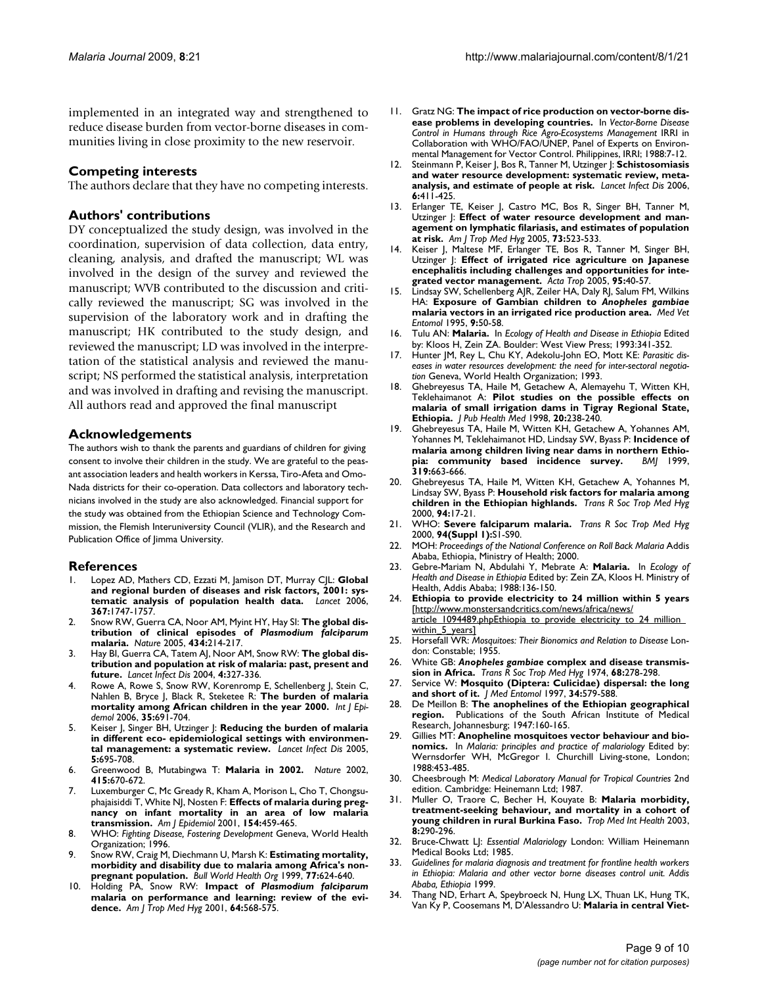implemented in an integrated way and strengthened to reduce disease burden from vector-borne diseases in communities living in close proximity to the new reservoir.

#### **Competing interests**

The authors declare that they have no competing interests.

#### **Authors' contributions**

DY conceptualized the study design, was involved in the coordination, supervision of data collection, data entry, cleaning, analysis, and drafted the manuscript; WL was involved in the design of the survey and reviewed the manuscript; WVB contributed to the discussion and critically reviewed the manuscript; SG was involved in the supervision of the laboratory work and in drafting the manuscript; HK contributed to the study design, and reviewed the manuscript; LD was involved in the interpretation of the statistical analysis and reviewed the manuscript; NS performed the statistical analysis, interpretation and was involved in drafting and revising the manuscript. All authors read and approved the final manuscript

#### **Acknowledgements**

The authors wish to thank the parents and guardians of children for giving consent to involve their children in the study. We are grateful to the peasant association leaders and health workers in Kerssa, Tiro-Afeta and Omo-Nada districts for their co-operation. Data collectors and laboratory technicians involved in the study are also acknowledged. Financial support for the study was obtained from the Ethiopian Science and Technology Commission, the Flemish Interuniversity Council (VLIR), and the Research and Publication Office of Jimma University.

#### **References**

- 1. Lopez AD, Mathers CD, Ezzati M, Jamison DT, Murray CJL: **[Global](http://www.ncbi.nlm.nih.gov/entrez/query.fcgi?cmd=Retrieve&db=PubMed&dopt=Abstract&list_uids=16731270) [and regional burden of diseases and risk factors, 2001: sys](http://www.ncbi.nlm.nih.gov/entrez/query.fcgi?cmd=Retrieve&db=PubMed&dopt=Abstract&list_uids=16731270)[tematic analysis of population health data.](http://www.ncbi.nlm.nih.gov/entrez/query.fcgi?cmd=Retrieve&db=PubMed&dopt=Abstract&list_uids=16731270)** *Lancet* 2006, **367:**1747-1757.
- Snow RW, Guerra CA, Noor AM, Myint HY, Hay SI: The global dis**tribution of clinical episodes of** *Plasmodium falciparum* **[malaria.](http://www.ncbi.nlm.nih.gov/entrez/query.fcgi?cmd=Retrieve&db=PubMed&dopt=Abstract&list_uids=15759000)** *Nature* 2005, **434:**214-217.
- 3. Hay BI, Guerra CA, Tatem AJ, Noor AM, Snow RW: **[The global dis](http://www.ncbi.nlm.nih.gov/entrez/query.fcgi?cmd=Retrieve&db=PubMed&dopt=Abstract&list_uids=15172341)[tribution and population at risk of malaria: past, present and](http://www.ncbi.nlm.nih.gov/entrez/query.fcgi?cmd=Retrieve&db=PubMed&dopt=Abstract&list_uids=15172341) [future.](http://www.ncbi.nlm.nih.gov/entrez/query.fcgi?cmd=Retrieve&db=PubMed&dopt=Abstract&list_uids=15172341)** *Lancet Infect Dis* 2004, **4:**327-336.
- 4. Rowe A, Rowe S, Snow RW, Korenromp E, Schellenberg J, Stein C, Nahlen B, Bryce J, Black R, Steketee R: **The burden of malaria mortality among African children in the year 2000.** *Int J Epidemol* 2006, **35:**691-704.
- 5. Keiser J, Singer BH, Utzinger J: **[Reducing the burden of malaria](http://www.ncbi.nlm.nih.gov/entrez/query.fcgi?cmd=Retrieve&db=PubMed&dopt=Abstract&list_uids=16253887) [in different eco- epidemiological settings with environmen](http://www.ncbi.nlm.nih.gov/entrez/query.fcgi?cmd=Retrieve&db=PubMed&dopt=Abstract&list_uids=16253887)[tal management: a systematic review.](http://www.ncbi.nlm.nih.gov/entrez/query.fcgi?cmd=Retrieve&db=PubMed&dopt=Abstract&list_uids=16253887)** *Lancet Infect Dis* 2005, **5:**695-708.
- 6. Greenwood B, Mutabingwa T: **[Malaria in 2002.](http://www.ncbi.nlm.nih.gov/entrez/query.fcgi?cmd=Retrieve&db=PubMed&dopt=Abstract&list_uids=11832954)** *Nature* 2002, **415:**670-672.
- 7. Luxemburger C, Mc Gready R, Kham A, Morison L, Cho T, Chongsuphajaisiddi T, White NJ, Nosten F: **[Effects of malaria during preg](http://www.ncbi.nlm.nih.gov/entrez/query.fcgi?cmd=Retrieve&db=PubMed&dopt=Abstract&list_uids=11532788)[nancy on infant mortality in an area of low malaria](http://www.ncbi.nlm.nih.gov/entrez/query.fcgi?cmd=Retrieve&db=PubMed&dopt=Abstract&list_uids=11532788) [transmission.](http://www.ncbi.nlm.nih.gov/entrez/query.fcgi?cmd=Retrieve&db=PubMed&dopt=Abstract&list_uids=11532788)** *Am J Epidemiol* 2001, **154:**459-465.
- 8. WHO: *Fighting Disease, Fostering Development* Geneva, World Health Organization; 1996.
- 9. Snow RW, Craig M, Diechmann U, Marsh K: **[Estimating mortality,](http://www.ncbi.nlm.nih.gov/entrez/query.fcgi?cmd=Retrieve&db=PubMed&dopt=Abstract&list_uids=10516785) [morbidity and disability due to malaria among Africa's non](http://www.ncbi.nlm.nih.gov/entrez/query.fcgi?cmd=Retrieve&db=PubMed&dopt=Abstract&list_uids=10516785)[pregnant population.](http://www.ncbi.nlm.nih.gov/entrez/query.fcgi?cmd=Retrieve&db=PubMed&dopt=Abstract&list_uids=10516785)** *Bull World Health Org* 1999, **77:**624-640.
- 10. Holding PA, Snow RW: **Impact of** *Plasmodium falciparum* **malaria on performance and learning: review of the evidence.** *Am J Trop Med Hyg* 2001, **64:**568-575.
- 11. Gratz NG: **The impact of rice production on vector-borne disease problems in developing countries.** In *Vector-Borne Disease Control in Humans through Rice Agro-Ecosystems Management* IRRI in Collaboration with WHO/FAO/UNEP, Panel of Experts on Environmental Management for Vector Control. Philippines, IRRI; 1988:7-12.
- 12. Steinmann P, Keiser J, Bos R, Tanner M, Utzinger J: **[Schistosomiasis](http://www.ncbi.nlm.nih.gov/entrez/query.fcgi?cmd=Retrieve&db=PubMed&dopt=Abstract&list_uids=16790382) [and water resource development: systematic review, meta](http://www.ncbi.nlm.nih.gov/entrez/query.fcgi?cmd=Retrieve&db=PubMed&dopt=Abstract&list_uids=16790382)[analysis, and estimate of people at risk.](http://www.ncbi.nlm.nih.gov/entrez/query.fcgi?cmd=Retrieve&db=PubMed&dopt=Abstract&list_uids=16790382)** *Lancet Infect Dis* 2006, **6:**411-425.
- 13. Erlanger TE, Keiser J, Castro MC, Bos R, Singer BH, Tanner M, Utzinger J: **[Effect of water resource development and man](http://www.ncbi.nlm.nih.gov/entrez/query.fcgi?cmd=Retrieve&db=PubMed&dopt=Abstract&list_uids=16172476)[agement on lymphatic filariasis, and estimates of population](http://www.ncbi.nlm.nih.gov/entrez/query.fcgi?cmd=Retrieve&db=PubMed&dopt=Abstract&list_uids=16172476) [at risk.](http://www.ncbi.nlm.nih.gov/entrez/query.fcgi?cmd=Retrieve&db=PubMed&dopt=Abstract&list_uids=16172476)** *Am J Trop Med Hyg* 2005, **73:**523-533.
- 14. Keiser J, Maltese MF, Erlanger TE, Bos R, Tanner M, Singer BH, Utzinger J: **[Effect of irrigated rice agriculture on Japanese](http://www.ncbi.nlm.nih.gov/entrez/query.fcgi?cmd=Retrieve&db=PubMed&dopt=Abstract&list_uids=15878762) [encephalitis including challenges and opportunities for inte](http://www.ncbi.nlm.nih.gov/entrez/query.fcgi?cmd=Retrieve&db=PubMed&dopt=Abstract&list_uids=15878762)[grated vector management.](http://www.ncbi.nlm.nih.gov/entrez/query.fcgi?cmd=Retrieve&db=PubMed&dopt=Abstract&list_uids=15878762)** *Acta Trop* 2005, **95:**40-57.
- 15. Lindsay SW, Schellenberg AJR, Zeiler HA, Daly RJ, Salum FM, Wilkins HA: **Exposure of Gambian children to** *Anopheles gambiae* **[malaria vectors in an irrigated rice production area.](http://www.ncbi.nlm.nih.gov/entrez/query.fcgi?cmd=Retrieve&db=PubMed&dopt=Abstract&list_uids=7696688)** *Med Vet Entomol* 1995, **9:**50-58.
- 16. Tulu AN: **Malaria.** In *Ecology of Health and Disease in Ethiopia* Edited by: Kloos H, Zein ZA. Boulder: West View Press; 1993:341-352.
- 17. Hunter JM, Rey L, Chu KY, Adekolu-John EO, Mott KE: *Parasitic diseases in water resources development: the need for inter-sectoral negotiation* Geneva, World Health Organization; 1993.
- 18. Ghebreyesus TA, Haile M, Getachew A, Alemayehu T, Witten KH, Teklehaimanot A: **[Pilot studies on the possible effects on](http://www.ncbi.nlm.nih.gov/entrez/query.fcgi?cmd=Retrieve&db=PubMed&dopt=Abstract&list_uids=9675750 ) [malaria of small irrigation dams in Tigray Regional State,](http://www.ncbi.nlm.nih.gov/entrez/query.fcgi?cmd=Retrieve&db=PubMed&dopt=Abstract&list_uids=9675750 ) [Ethiopia.](http://www.ncbi.nlm.nih.gov/entrez/query.fcgi?cmd=Retrieve&db=PubMed&dopt=Abstract&list_uids=9675750 )** *J Pub Health Med* 1998, **20:**238-240.
- 19. Ghebreyesus TA, Haile M, Witten KH, Getachew A, Yohannes AM, Yohannes M, Teklehaimanot HD, Lindsay SW, Byass P: **[Incidence of](http://www.ncbi.nlm.nih.gov/entrez/query.fcgi?cmd=Retrieve&db=PubMed&dopt=Abstract&list_uids=10480820) [malaria among children living near dams in northern Ethio](http://www.ncbi.nlm.nih.gov/entrez/query.fcgi?cmd=Retrieve&db=PubMed&dopt=Abstract&list_uids=10480820)**[pia: community based incidence survey.](http://www.ncbi.nlm.nih.gov/entrez/query.fcgi?cmd=Retrieve&db=PubMed&dopt=Abstract&list_uids=10480820) **319:**663-666.
- 20. Ghebreyesus TA, Haile M, Witten KH, Getachew A, Yohannes M, Lindsay SW, Byass P: **[Household risk factors for malaria among](http://www.ncbi.nlm.nih.gov/entrez/query.fcgi?cmd=Retrieve&db=PubMed&dopt=Abstract&list_uids=10748890) [children in the Ethiopian highlands.](http://www.ncbi.nlm.nih.gov/entrez/query.fcgi?cmd=Retrieve&db=PubMed&dopt=Abstract&list_uids=10748890)** *Trans R Soc Trop Med Hyg* 2000, **94:**17-21.
- 21. WHO: **[Severe falciparum malaria.](http://www.ncbi.nlm.nih.gov/entrez/query.fcgi?cmd=Retrieve&db=PubMed&dopt=Abstract&list_uids=11103309)** *Trans R Soc Trop Med Hyg* 2000, **94(Suppl 1):**S1-S90.
- 22. MOH: *Proceedings of the National Conference on Roll Back Malaria* Addis Ababa, Ethiopia, Ministry of Health; 2000.
- 23. Gebre-Mariam N, Abdulahi Y, Mebrate A: **Malaria.** In *Ecology of Health and Disease in Ethiopia* Edited by: Zein ZA, Kloos H. Ministry of Health, Addis Ababa; 1988:136-150.
- 24. **Ethiopia to provide electricity to 24 million within 5 years** [[http://www.monstersandcritics.com/news/africa/news/](http://www.monstersandcritics.com/news/africa/news/article_1094489.php/Ethiop
ia_to_provide_electricity_to_24_million_within_5_years) [article\\_1094489.phpE](http://www.monstersandcritics.com/news/africa/news/article_1094489.php/Ethiop
ia_to_provide_electricity_to_24_million_within_5_years)thiopia\_to\_provide\_electricity\_to\_24\_million\_ within 5 years]
- 25. Horsefall WR: *Mosquitoes: Their Bionomics and Relation to Disease* London: Constable; 1955.
- 26. White GB: *Anopheles gambiae* **[complex and disease transmis](http://www.ncbi.nlm.nih.gov/entrez/query.fcgi?cmd=Retrieve&db=PubMed&dopt=Abstract&list_uids=4420769)[sion in Africa.](http://www.ncbi.nlm.nih.gov/entrez/query.fcgi?cmd=Retrieve&db=PubMed&dopt=Abstract&list_uids=4420769)** *Trans R Soc Trop Med Hyg* 1974, **68:**278-298.
- 27. Service W: **[Mosquito \(Diptera: Culicidae\) dispersal: the long](http://www.ncbi.nlm.nih.gov/entrez/query.fcgi?cmd=Retrieve&db=PubMed&dopt=Abstract&list_uids=9439109) [and short of it.](http://www.ncbi.nlm.nih.gov/entrez/query.fcgi?cmd=Retrieve&db=PubMed&dopt=Abstract&list_uids=9439109)** *J Med Entomol* 1997, **34:**579-588.
- 28. De Meillon B: **The anophelines of the Ethiopian geographical region.** Publications of the South African Institute of Medical Research, Johannesburg; 1947:160-165.
- 29. Gillies MT: **Anopheline mosquitoes vector behaviour and bionomics.** In *Malaria: principles and practice of malariology* Edited by: Wernsdorfer WH, McGregor I. Churchill Living-stone, London; 1988:453-485.
- 30. Cheesbrough M: *Medical Laboratory Manual for Tropical Countries* 2nd edition. Cambridge: Heinemann Ltd; 1987.
- 31. Muller O, Traore C, Becher H, Kouyate B: **[Malaria morbidity,](http://www.ncbi.nlm.nih.gov/entrez/query.fcgi?cmd=Retrieve&db=PubMed&dopt=Abstract&list_uids=12667146) [treatment-seeking behaviour, and mortality in a cohort of](http://www.ncbi.nlm.nih.gov/entrez/query.fcgi?cmd=Retrieve&db=PubMed&dopt=Abstract&list_uids=12667146) [young children in rural Burkina Faso.](http://www.ncbi.nlm.nih.gov/entrez/query.fcgi?cmd=Retrieve&db=PubMed&dopt=Abstract&list_uids=12667146)** *Trop Med Int Health* 2003, **8:**290-296.
- 32. Bruce-Chwatt LJ: *Essential Malariology* London: William Heinemann Medical Books Ltd; 1985.
- 33. *Guidelines for malaria diagnosis and treatment for frontline health workers in Ethiopia: Malaria and other vector borne diseases control unit. Addis Ababa, Ethiopia* 1999.
- 34. Thang ND, Erhart A, Speybroeck N, Hung LX, Thuan LK, Hung TK, Van Ky P, Coosemans M, D'Alessandro U: **[Malaria in central Viet](http://www.ncbi.nlm.nih.gov/entrez/query.fcgi?cmd=Retrieve&db=PubMed&dopt=Abstract&list_uids=18234102)-**